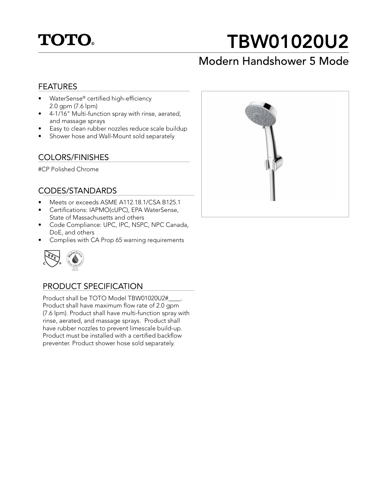

# TBW01020U2

# Modern Handshower 5 Mode

## FEATURES

- WaterSense® certified high-efficiency 2.0 gpm (7.6 lpm)
- 4-1/16" Multi-function spray with rinse, aerated, and massage sprays
- Easy to clean rubber nozzles reduce scale buildup
- Shower hose and Wall-Mount sold separately

# COLORS/FINISHES

#CP Polished Chrome

### CODES/STANDARDS

- Meets or exceeds ASME A112.18.1/CSA B125.1
- Certifications: IAPMO(cUPC), EPA WaterSense, State of Massachusetts and others
- Code Compliance: UPC, IPC, NSPC, NPC Canada, DoE, and others
- Complies with CA Prop 65 warning requirements



# PRODUCT SPECIFICATION

Product shall be TOTO Model TBW01020U2#\_\_\_\_. Product shall have maximum flow rate of 2.0 gpm (7.6 lpm). Product shall have multi-function spray with rinse, aerated, and massage sprays. Product shall have rubber nozzles to prevent limescale build-up. Product must be installed with a certified backflow preventer. Product shower hose sold separately.